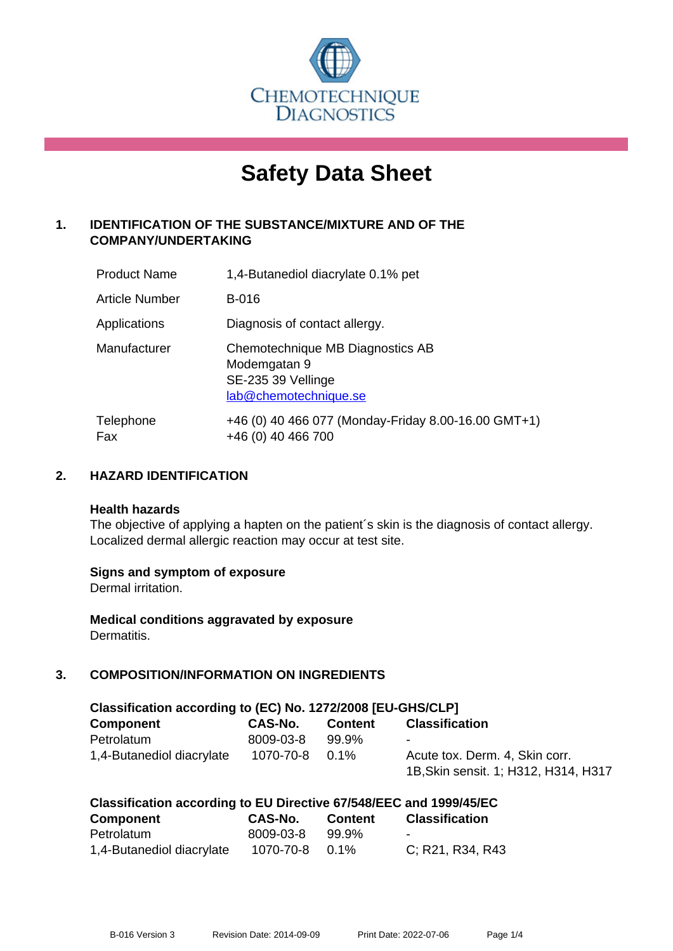

# **Safety Data Sheet**

# **1. IDENTIFICATION OF THE SUBSTANCE/MIXTURE AND OF THE COMPANY/UNDERTAKING**

| <b>Product Name</b> | 1,4-Butanediol diacrylate 0.1% pet                                                              |
|---------------------|-------------------------------------------------------------------------------------------------|
| Article Number      | <b>B-016</b>                                                                                    |
| Applications        | Diagnosis of contact allergy.                                                                   |
| Manufacturer        | Chemotechnique MB Diagnostics AB<br>Modemgatan 9<br>SE-235 39 Vellinge<br>lab@chemotechnique.se |
| Telephone<br>Fax    | +46 (0) 40 466 077 (Monday-Friday 8.00-16.00 GMT+1)<br>+46 (0) 40 466 700                       |

## **2. HAZARD IDENTIFICATION**

#### **Health hazards**

The objective of applying a hapten on the patient's skin is the diagnosis of contact allergy. Localized dermal allergic reaction may occur at test site.

## **Signs and symptom of exposure**

Dermal irritation.

**Medical conditions aggravated by exposure** Dermatitis.

# **3. COMPOSITION/INFORMATION ON INGREDIENTS**

| Classification according to (EC) No. 1272/2008 [EU-GHS/CLP] |                |                |                                      |  |  |
|-------------------------------------------------------------|----------------|----------------|--------------------------------------|--|--|
| Component                                                   | CAS-No.        | <b>Content</b> | <b>Classification</b>                |  |  |
| Petrolatum                                                  | 8009-03-8      | 99.9%          | $\blacksquare$                       |  |  |
| 1,4-Butanediol diacrylate                                   | 1070-70-8 0.1% |                | Acute tox. Derm. 4, Skin corr.       |  |  |
|                                                             |                |                | 1B, Skin sensit. 1; H312, H314, H317 |  |  |

| Classification according to EU Directive 67/548/EEC and 1999/45/EC |                |                |                       |  |  |
|--------------------------------------------------------------------|----------------|----------------|-----------------------|--|--|
| <b>Component</b>                                                   | <b>CAS-No.</b> | <b>Content</b> | <b>Classification</b> |  |  |
| Petrolatum                                                         | 8009-03-8      | 99.9%          | -                     |  |  |
| 1,4-Butanediol diacrylate                                          | 1070-70-8      | $0.1\%$        | C: R21, R34, R43      |  |  |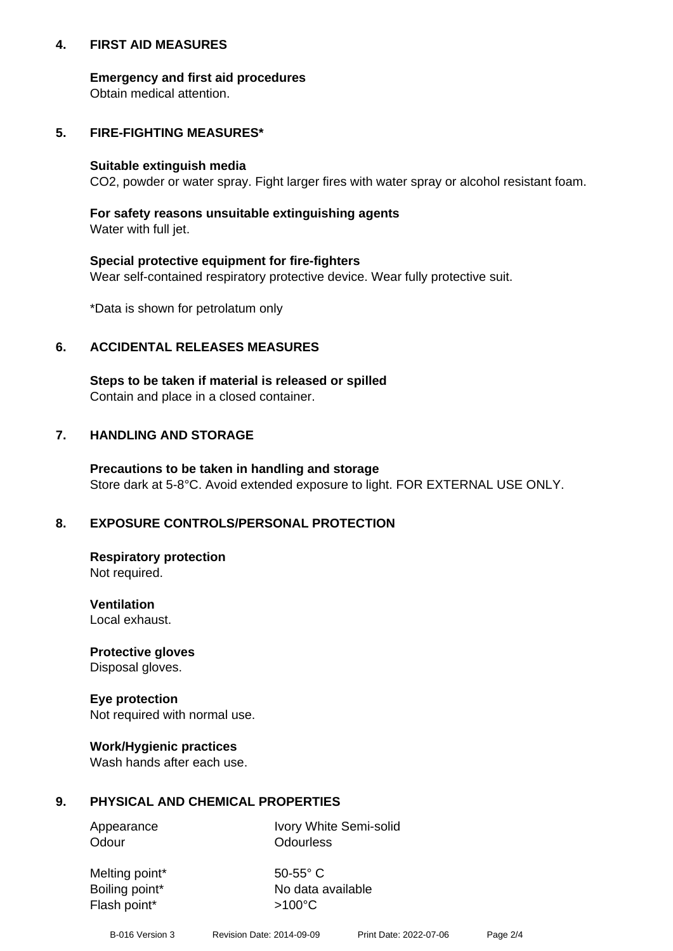## **4. FIRST AID MEASURES**

## **Emergency and first aid procedures**

Obtain medical attention.

# **5. FIRE-FIGHTING MEASURES\***

#### **Suitable extinguish media**

CO2, powder or water spray. Fight larger fires with water spray or alcohol resistant foam.

# **For safety reasons unsuitable extinguishing agents**

Water with full jet.

## **Special protective equipment for fire-fighters**

Wear self-contained respiratory protective device. Wear fully protective suit.

\*Data is shown for petrolatum only

## **6. ACCIDENTAL RELEASES MEASURES**

**Steps to be taken if material is released or spilled** Contain and place in a closed container.

# **7. HANDLING AND STORAGE**

**Precautions to be taken in handling and storage** Store dark at 5-8°C. Avoid extended exposure to light. FOR EXTERNAL USE ONLY.

# **8. EXPOSURE CONTROLS/PERSONAL PROTECTION**

**Respiratory protection** Not required.

**Ventilation** Local exhaust.

**Protective gloves** Disposal gloves.

#### **Eye protection** Not required with normal use.

## **Work/Hygienic practices**

Wash hands after each use.

## **9. PHYSICAL AND CHEMICAL PROPERTIES**

Odour **Odourless** 

Appearance Ivory White Semi-solid

Melting point\* 50-55° C Flash point\*  $>100^{\circ}$ C

Boiling point\* No data available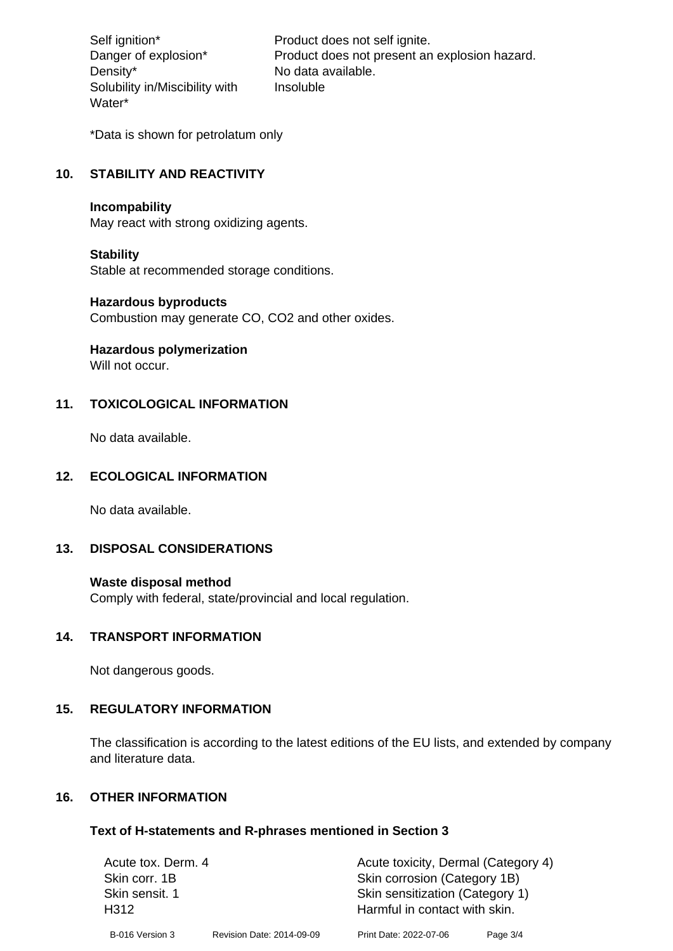Density\* No data available. Solubility in/Miscibility with Water\*

Self ignition\* Product does not self ignite. Danger of explosion\* Product does not present an explosion hazard. Insoluble

\*Data is shown for petrolatum only

# **10. STABILITY AND REACTIVITY**

#### **Incompability**

May react with strong oxidizing agents.

#### **Stability**

Stable at recommended storage conditions.

#### **Hazardous byproducts**

Combustion may generate CO, CO2 and other oxides.

**Hazardous polymerization**

Will not occur.

## **11. TOXICOLOGICAL INFORMATION**

No data available.

#### **12. ECOLOGICAL INFORMATION**

No data available.

## **13. DISPOSAL CONSIDERATIONS**

#### **Waste disposal method**

Comply with federal, state/provincial and local regulation.

#### **14. TRANSPORT INFORMATION**

Not dangerous goods.

## **15. REGULATORY INFORMATION**

The classification is according to the latest editions of the EU lists, and extended by company and literature data.

#### **16. OTHER INFORMATION**

#### **Text of H-statements and R-phrases mentioned in Section 3**

| Acute tox. Derm. 4     |                           | Acute toxicity, Dermal (Category 4)                              |          |  |
|------------------------|---------------------------|------------------------------------------------------------------|----------|--|
| Skin corr, 1B          |                           | Skin corrosion (Category 1B)                                     |          |  |
| Skin sensit. 1<br>H312 |                           | Skin sensitization (Category 1)<br>Harmful in contact with skin. |          |  |
| B-016 Version 3        | Revision Date: 2014-09-09 | Print Date: 2022-07-06                                           | Page 3/4 |  |